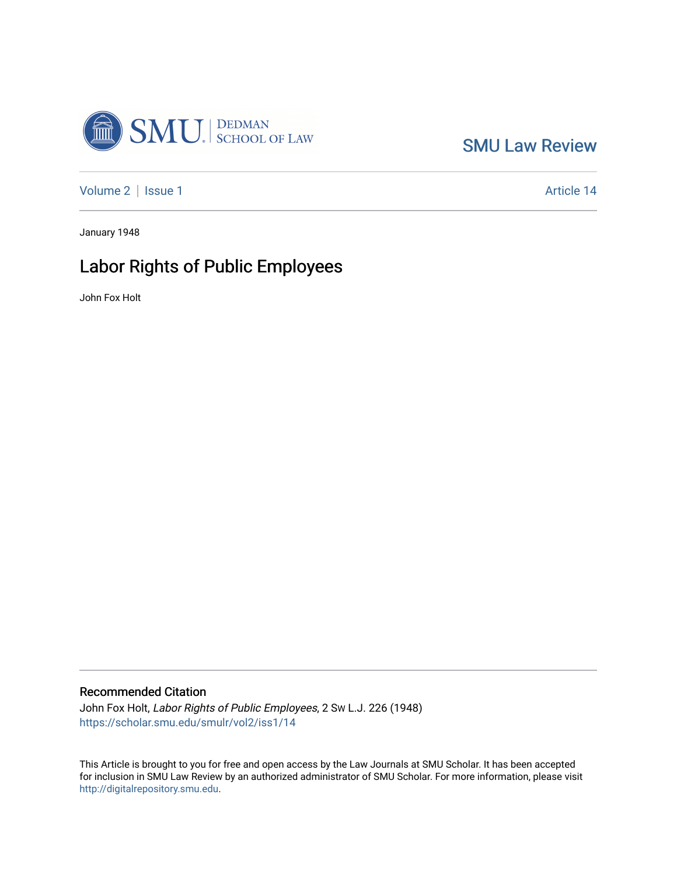

[SMU Law Review](https://scholar.smu.edu/smulr) 

[Volume 2](https://scholar.smu.edu/smulr/vol2) | [Issue 1](https://scholar.smu.edu/smulr/vol2/iss1) Article 14

January 1948

## Labor Rights of Public Employees

John Fox Holt

### Recommended Citation

John Fox Holt, Labor Rights of Public Employees, 2 SW L.J. 226 (1948) [https://scholar.smu.edu/smulr/vol2/iss1/14](https://scholar.smu.edu/smulr/vol2/iss1/14?utm_source=scholar.smu.edu%2Fsmulr%2Fvol2%2Fiss1%2F14&utm_medium=PDF&utm_campaign=PDFCoverPages) 

This Article is brought to you for free and open access by the Law Journals at SMU Scholar. It has been accepted for inclusion in SMU Law Review by an authorized administrator of SMU Scholar. For more information, please visit [http://digitalrepository.smu.edu.](http://digitalrepository.smu.edu/)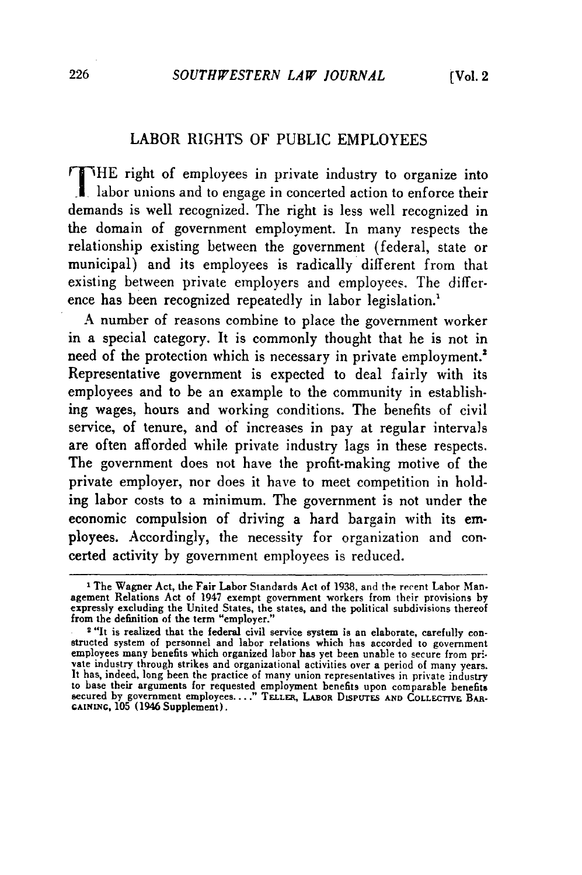### LABOR RIGHTS OF PUBLIC EMPLOYEES

'HE right of employees in private industry to organize into labor unions and to engage in concerted action to enforce their demands is well recognized. The right is less well recognized in the domain of government employment. In many respects the relationship existing between the government (federal, state or municipal) and its employees is radically different from that existing between private employers and employees. The difference has been recognized repeatedly in labor legislation.'

A number of reasons combine to place the government worker in a special category. It is commonly thought that he is not in need of the protection which is necessary in private employment.<sup>2</sup> Representative government is expected to deal fairly with its employees and to be an example to the community in establishing wages, hours and working conditions. The benefits of civil service, of tenure, and of increases in pay at regular intervals are often afforded while private industry lags in these respects. The government does not have the profit-making motive of the private employer, nor does it have to meet competition in holding labor costs to a minimum. The government is not under the economic compulsion of driving a hard bargain with its employees. Accordingly, the necessity for organization and concerted activity by government employees is reduced.

<sup>&</sup>lt;sup>1</sup> The Wagner Act, the Fair Labor Standards Act of 1938, and the recent Labor Management Relations Act of 1947 exempt government workers from their provisions by expressly excluding the United States, the states, and the political subdivisions thereof from the definition of the term "employer."<br>2 "It is realized that the federal civil service system is an elaborate, carefully con-

structed system of personnel and labor relations which has accorded to government<br>employees many benefits which organized labor has yet been unable to secure from pri-<br>vate industry through strikes and organizational activ It has, indeed, long been the practice of many union representatives in private industry to base their arguments for requested employment benefits upon comparable benefits secured **by** government employees...." **TELLER, LABOR DtsPUrS AND** COLLFCTrVE BAR-**GAINING,** 105 (1946 Supplement).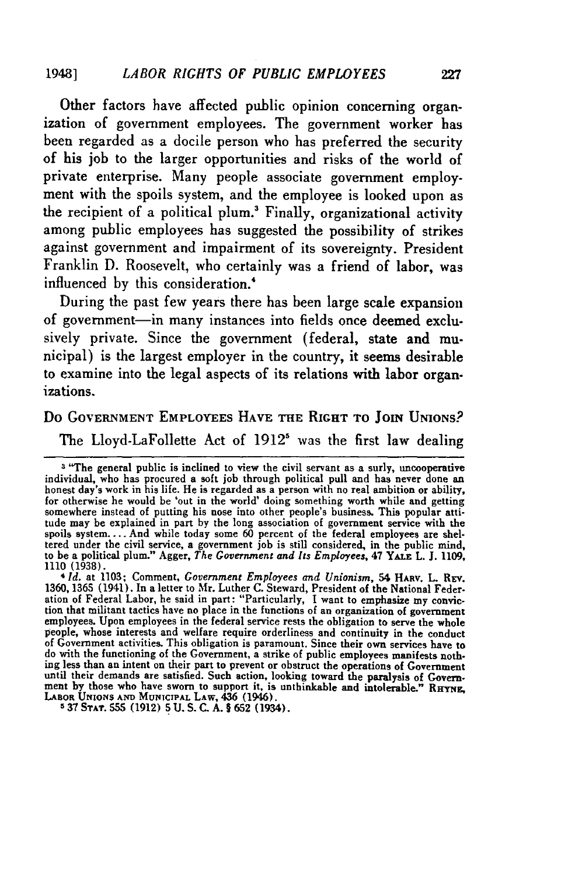Other factors have affected public opinion concerning organization of government employees. The government worker has been regarded as a docile person who has preferred the security of his **job** to the larger opportunities and risks of the world of private enterprise. Many people associate government employment with the spoils system, and the employee is looked upon as the recipient of a political plum.<sup>3</sup> Finally, organizational activity among public employees has suggested the possibility of strikes against government and impairment of its sovereignty. President Franklin **D.** Roosevelt, who certainly was a friend of labor, was influenced **by** this consideration.'

During the past few years there has been large scale expansion of government-in many instances into fields once deemed exclusively private. Since the government (federal, state and municipal) is the largest employer in the country, it seems desirable to examine into the legal aspects of its relations with labor organizations.

# Do GOVERNMENT EMPLOYEES **HAVE THE** RIGHT TO **JOIN** UNIONS?

The Lloyd-LaFollette Act of 1912' was the first law dealing

4 *Id.* at 1103; Comment, *Government Employees and Unionism,* 54 **HAMV.** L. **REV. 1360, 1365** (1941). In a letter to Mr. Luther **C.** Steward, President of the National Federation of Federal Labor, he said in part: "Particularly, **I** want to emphasize my conviction that militant tactics have no place in the functions of an organization of governmen employees. Upon employees in the federal service rests the obligation to serve the whole people, whose interests and welfare require orderliness and continuity in the conduct of Government activities. This obligation is paramount. Since their own services have to do with the functioning of the Government, a strike of public employees manifests nothing less than an intent on their part to prevent or obstruct the operations of Government<br>until their demands are satisfied. Such action, looking toward the paralysis of Government by those who have sworn to support it, is unthinkable and intolerable." RHYNE, **LABOR UNIONS AND MUNICIPAL LAw, 436 (1946). 5 37 SrAr. 555 (1912) 5 U. S. C. A. § 652** (1934).

**<sup>3</sup>** "The general public is inclined to view the civil servant as a surly, uncooperative individual, who has procured a soft **job** through political **pull** and has never done an honest day's work in his life. He is regarded as a person with no real ambition or ability, for otherwise he would be **'out in** the world' doing something worth while and getting somewhere instead of putting his nose into other people's business. This popular attitude may be explained in part by the long association of government service with the spoils system.... And while today some 60 percent of the federal employees are shel-<br>tered under the civil service, a government job is still considered, in the public mind<br>to be a political plum." Agger, *The Government a*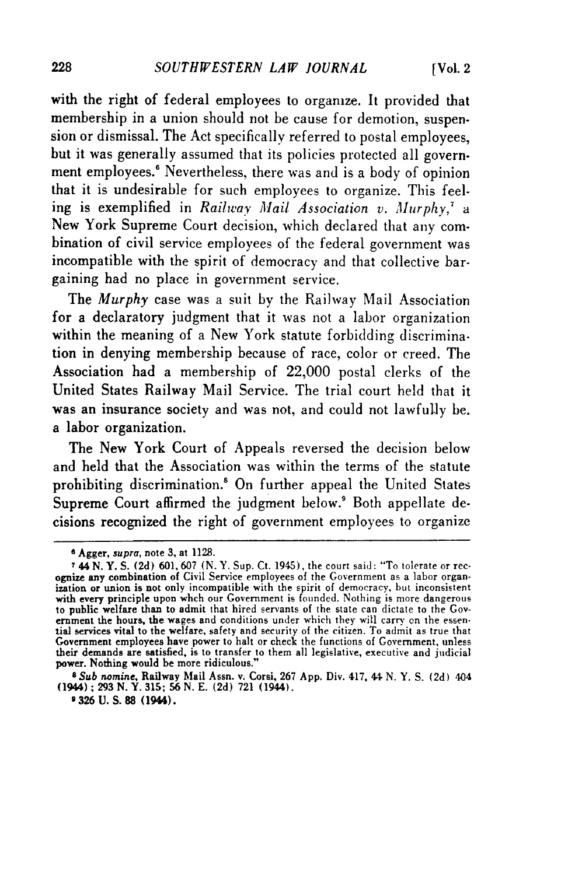with the right of federal employees to organize. It provided that membership in a union should not be cause for demotion, suspension or dismissal. The Act specifically referred to postal employees, but it was generally assumed that its policies protected all government employees.<sup>6</sup> Nevertheless, there was and is a body of opinion that it is undesirable for such employees to organize. This feeling is exemplified in *Railway Mail Association v. Murphy, a* New York Supreme Court decision, which declared that any combination of civil service employees of the federal government was incompatible with the spirit of democracy and that collective bargaining had no place in government service.

The *Murphy* case was a suit by the Railway Mail Association for a declaratory judgment that it was not a labor organization within the meaning of a New York statute forbidding discrimination in denying membership because of race, color or creed. The Association had a membership of 22,000 postal clerks of the United States Railway Mail Service. The trial court held that it was an insurance society and was not, and could not lawfully be. a labor organization.

The New York Court of Appeals reversed the decision below and held that the Association was within the terms of the statute prohibiting discrimination.<sup>8</sup> On further appeal the United States Supreme Court affirmed the judgment below.<sup>9</sup> Both appellate decisions recognized the right of government employees to organize

**<sup>6</sup>** Agger, *supra,* note 3, at 1128.

<sup>&</sup>lt;sup>7</sup> 44 N. Y. S. (2d) 601, 607 (N. Y. Sup. Ct. 1945), the court said: "To tolerate or recognize any combination of Civil Service employees of the Government as a labor organization or union is not only incompatible with the with every principle upon whch our Government is founded. Nothing is more dangerous to public welfare than to admit that hired servants of the state can dictate to the Government the hours, the wages and conditions under which they will carry cn the essen- tial services vital to the welfare, safety and security of the citizen. To admit as true that Government employees have power to halt or check the functions of Government, unless their demands are satisfied, is to transfer to them all legislative, executive and judicial<br>power. Nothing would be more ridiculous."

*S Sub nomine,* Railway Mail Assn. v. Corsi, **267 App.** Div. 417, 44 N. Y. S. **(2d)** 404 (1944) **,** 293 **N.** Y. 315; **56 N.** E. (2d) 721 (1944).

**<sup>9 326</sup>** U. S. 88 (1944).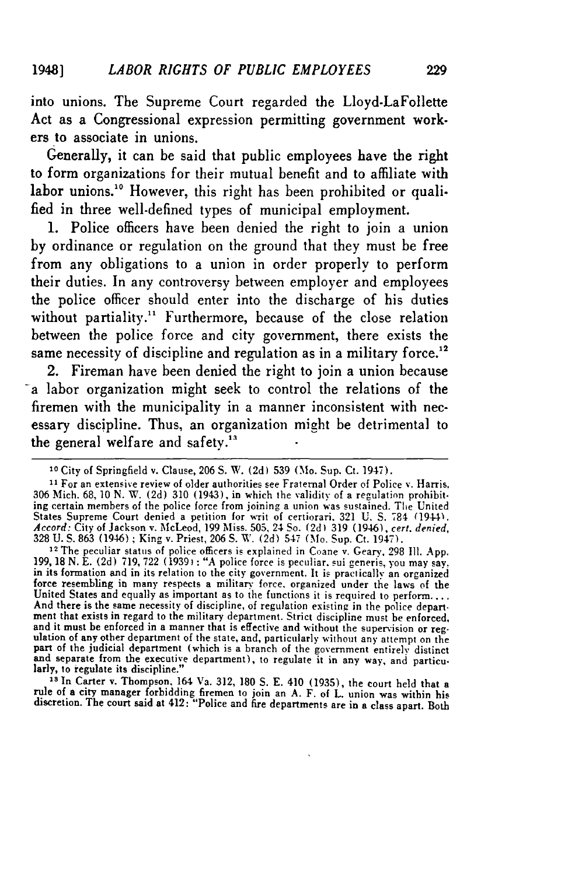into unions. The Supreme Court regarded the Lloyd.LaFollette Act as a Congressional expression permitting government workers to associate in unions.

Generally, it can be said that public employees have the right to form organizations for their mutual benefit and to affiliate with labor unions.<sup>10</sup> However, this right has been prohibited or quali**fled** in three well-defined types of municipal employment.

**1.** Police officers have been denied the right to join a union **by** ordinance or regulation on the ground that they must be free from any obligations to a union in order properly to perform their duties. In any controversy between employer and employees the police officer should enter into the discharge of his duties without partiality.<sup>11</sup> Furthermore, because of the close relation between the police force and city government, there exists the same necessity of discipline and regulation as in a military force.<sup>12</sup>

2. Fireman have been denied the right to join a union because a labor organization might seek to control the relations of the firemen with the municipality in a manner inconsistent with necessary discipline. Thus, an organization **might be** detrimental to the general welfare and safety."

<sup>12</sup> The peculiar status of police officers is explained in Coane v. Geary, 298 Ill. App. 199, 18 N. E. (2d) 719, 722 (1939): "A police force is peculiar, sui generis, you may say. in its formation and in its relation to the city government. It is practically an organized force resembling in many respects a military force. organized under the laws of the United States and equally as important as to the functions it is required to perform.... And there is the same necessity of discipline, of regulation existing in the police department that exists in regard to the military department. Strict discipline must be enforced, and it must be enforced in a manner that is effective and without the supervision or regulation of any other department of the state, and, particularly without any attempt on the part of the judicial department (which is a branch of the government entirely distinct<br>and separate from the executive department), to regulate it in any way, and particu-<br>larly, to regulate its discipline."

**1** In Carter v. Thompson. 164 Va. 312, 180 **S.** E. 410 (1935), the court held that a rule of a city manager forbidding firemen to join an A. F. of L. union was within his<br>discretion. The court said at 412: "Police and fire departments are in a class apart. Both

**<sup>10</sup>**City of Springfield v. Clause, 206 S. W. (2d) 539 (Mo. Sup. Ct. 1947).

**<sup>11</sup>**For an extensive review of older authorities see Fraternal Order of Police v. Harris. 306 Mich. 68, **10** N. W. (2d) 310 (1943), in which the validity of a regulation prohibit-ing certain members of the police force from joining a union was sustained. The United States Supreme Court denied a petition for writ of certiorari. 321 U. **S.** 784 (1944). *Accord:* City of Jackson v. McLeod, 199 Miss. 505, 24 So. **(2d)** 319 (1946), *cert. denied,* 328 U. S. 863 (1946) ; King v. Priest, 206 S. W. (2d) 547 (Mo. Sup. Ct. 1947). 12 The peculiar status of police officers is explained in Coane v. Geary. 298 **I1.** App.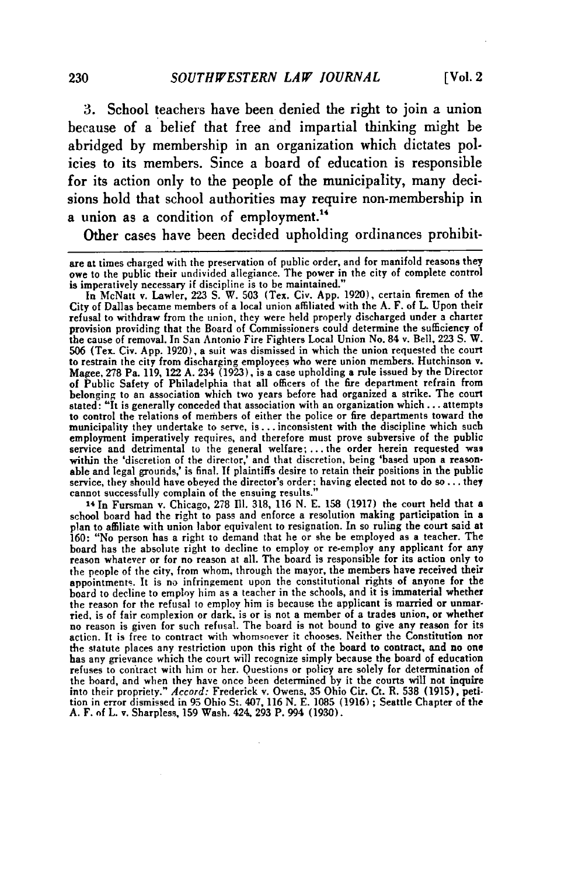**3.** School teachers have been denied the right to join a union because of a belief that free and impartial thinking might be abridged by membership in an organization which dictates policies to its members. Since a board of education is responsible for its action only to the people of the municipality, many decisions hold that school authorities may require non-membership in a union as a condition of employment."

Other cases have been decided upholding ordinances prohibit-

In McNatt v. Lawler, 223 **S.** W. **503** (Tex. Civ. **App.** 1920), certain firemen of the City of Dallas became members of a local union affiliated with the A. F. of L. Upon their refusal to withdraw from the union, they were held properly discharged under a charter provision providing that the Board of Commissioners could determine the sufficiency of the cause of removal. In San Antonio Fire Fighters Local Union No. 84 v. Bell, 223 S. W. 506 (Tex. Civ. **App.** 1920), **a** suit was dismissed in which the union requested the court to restrain the city from discharging employees who were union members. Hutchinson v. Magee, 278 Pa. 119, 122 A. 234 (1923), is a case upholding a rule issued by the Director of Public Safety of Philadelphia that all officers of the fire department refrain from belonging to an association which two years before had organized a strike. The court stated: "It is generally conceded that association with an organization which... attempts to control the relations of members of either the police or fire departments toward the municipality they undertake to serve, is... inconsistent with the discipline which such employment imperatively requires, and therefore must prove subversive of the public service and detrimental to the general welfare; ... the order herein requested was within the 'discretion of the director,' and that discretion, being 'based upon a reasonable and legal grounds,' is final. **If** plaintiffs desire to retain their positions in the public service, they should have obeyed the director's order: having elected not to do so... they cannot successfully complain of the ensuing results."

14 In Fursman v. Chicago, 278 Ill. 318, 116 N. E. 158 (1917) the court held that a school board had the right to pass and enforce a resolution making participation in a plan to affiliate with union labor equivalent to resignation. In so ruling the court said at 160: "No person has a right to demand that he or she be employed as a teacher. The board has the absolute right to decline to employ or re-employ any applicant for any reason whatever or for no reason at all. The board is responsible for its action only to the people of the city, from whom, through the mayor, the members have received their appointments. It is no infringement upon the constitutional rights of anyone for the board to decline to employ him as a teacher in the schools, and it is immaterial whether the reason for the refusal to employ him is because the applicant is married or unmarried, is of fair complexion or dark. is or is not a member of a trades union, or whether no reason is given for such refusal. The board is not bound to give any reason for its action. It is free to contract with whomsoever it chooses. Neither the Constitution nor the statute places any restriction upon this right of the board to contract, and no one has any grievance which the court will recognize simply because the board of education refuses to contract with him or her. Questions or policy are solely for determination of the board, and when they have once been determined by it the courts will not inquire into their propriety." *Accord:* Frederick v. Owens, 35 Ohio Cir. Ct. R. 538 (1915), peti-tion in error dismissed in 95 Ohio **St.** 407, **116** N. E. 1085 (1916) ; Seattle Chapter of the A. F. of L. v. Sharpless, 159 Wash. 424, 293 P. 994 (1930).

are at times charged with the preservation of public order, and for manifold reasons they **owe** to the public their undivided allegiance. The power in the city of complete control is imperatively necessary if discipline is to be maintained."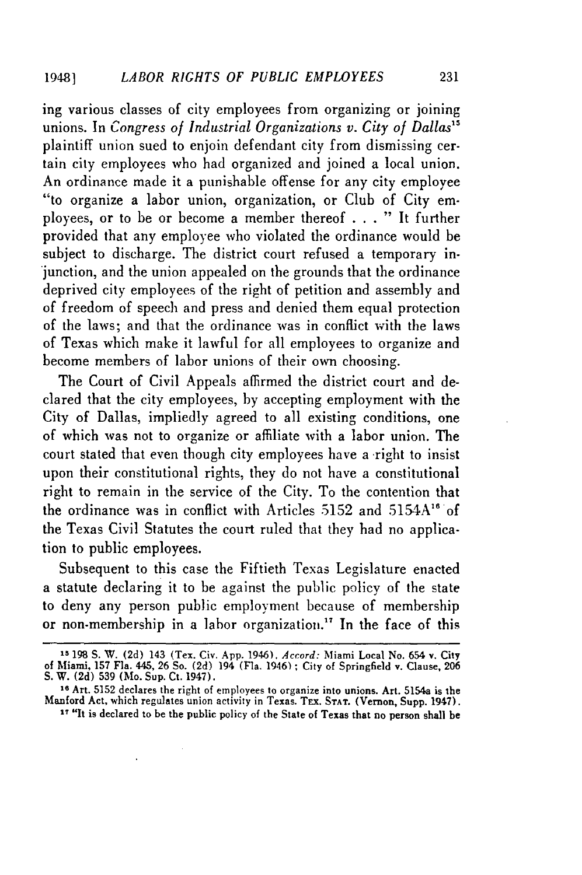ing various classes of city employees from organizing or joining unions. In *Congress of Industrial Organizations v. City of Dallas*<sup>15</sup> plaintiff union sued to enjoin defendant city from dismissing certain city employees who had organized and joined a local union. An ordinance made it a punishable offense for any city employee *"to* organize a labor union, organization, or Club of City employees, or to be or become a member thereof . . . **"** It further provided that any employee who violated the ordinance would be subject to discharge. The district court refused a temporary injunction, and the union appealed on the grounds that the ordinance deprived city employees of the right of petition and assembly and of freedom of speech and press and denied them equal protection of the laws; and that the ordinance was in conflict with the laws of Texas which make it lawful for all employees to organize and become members of labor unions of their own choosing.

The Court of Civil Appeals affirmed the district court and declared that the city employees, by accepting employment with the City of Dallas, impliedly agreed to all existing conditions, one of which was not to organize or affiliate with a labor union. The court stated that even though city employees have a right to insist upon their constitutional rights, they do not have a constitutional right to remain in the service of the City. To the contention that the ordinance was in conflict with Articles 5152 and 5154A" of the Texas Civil Statutes the court ruled that they had no application to public employees.

Subsequent to this case the Fiftieth Texas Legislature enacted a statute declaring it to be against the public policy of the state to deny any person public employment because of membership or non-membership in a labor organization." In the face of this

**<sup>15</sup>198 S.** W. **(2d)** 143 (Tex. Civ. **App.** 1946). *Accord:* Miami Local **No.** 654 v. City **of** Miami, **157** Fla. 445, **26** So. **(2d)** 194 (Fla. 1946) **;** City **of** Springfield v. Clause, **206 S.** W. **(2d) 539 (Mo.** Sup. Ct. 1947).

**<sup>16</sup>**Art. **5152** declares the right of employees to organize into unions. Art. 5154a is the Manford Act, which regulates union activity in Texas. Trx. **STAT.** (Vernon, Supp. 1947).

**<sup>17</sup>**"It is declared to be **the** public policy of the State of Texas that no person shall **be**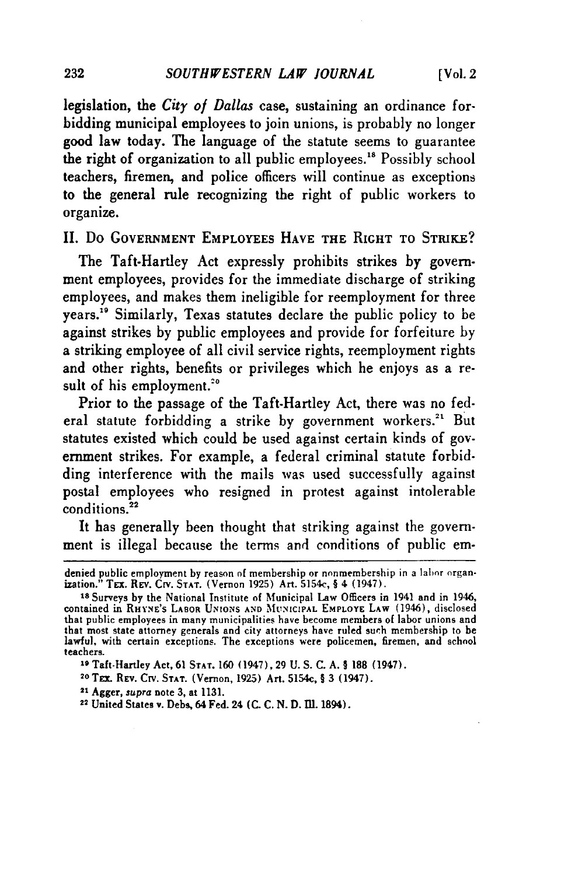legislation, the *City* of *Dallas* case, sustaining an ordinance forbidding municipal employees to join unions, is probably no longer good law today. The language of the statute seems to guarantee the right of organization to all public employees.<sup>18</sup> Possibly school teachers, firemen, and police officers will continue as exceptions to the general rule recognizing the right of public workers to organize.

**II.** Do **GOVERNMENT** EMPLOYEES **HAVE** THE RIGHT **TO STRIKE?**

The Taft-Hartley Act expressly prohibits strikes by government employees, provides for the immediate discharge of striking employees, and makes them ineligible for reemployment for three years.<sup>19</sup> Similarly, Texas statutes declare the public policy to be against strikes by public employees and provide for forfeiture **by** a striking employee of all civil service rights, reemployment rights and other rights, benefits or privileges which he enjoys as a result of his employment.<sup>20</sup>

Prior to the passage of the Taft-Hartley Act, there was no federal statute forbidding a strike by government workers.<sup>21</sup> But statutes existed which could be used against certain kinds of government strikes. For example, a federal criminal statute forbidding interference with the mails was used successfully against postal employees who resigned in protest against intolerable conditions.<sup>22</sup>

It has generally been thought that striking against the government is illegal because the terms and conditions of public em-

- **20 Tx** REv. CiV. **STAT.** (Vernon, 1925) Art. 5154c, § 3 (1947).
- **<sup>21</sup>**Agger, *supra* note 3, at 1131.

denied public employment **by** reason of membership or nonmembership in a labor organization." TEx. REv. CrV. **STAT.** (Vernon 1925) Art. 5154c, § 4 (1947).

**Is** Surveys by the National Institute of Municipal Law Officers in 1941 and in 1946, contained in **RHYNE'S LABOR UNIONS AND MUNICIPAL EMPLOYE LAW** (1946), disclosed that public employees in many municipalities have become members of labor unions and that most state attorney generals and city attorneys have ruled such membership to be lawful, with certain exceptions. The exceptions were policemen, firemen, and school teachers.

**<sup>19</sup>**Taft-Hartley Act, **61 STAT. 160** (1947), 29 U. **S. C. A.** § **188** (1947).

**<sup>22</sup>**United States **v.** Deb, 64 Fed. 24 **(C. C. N. D.** 111. 1894).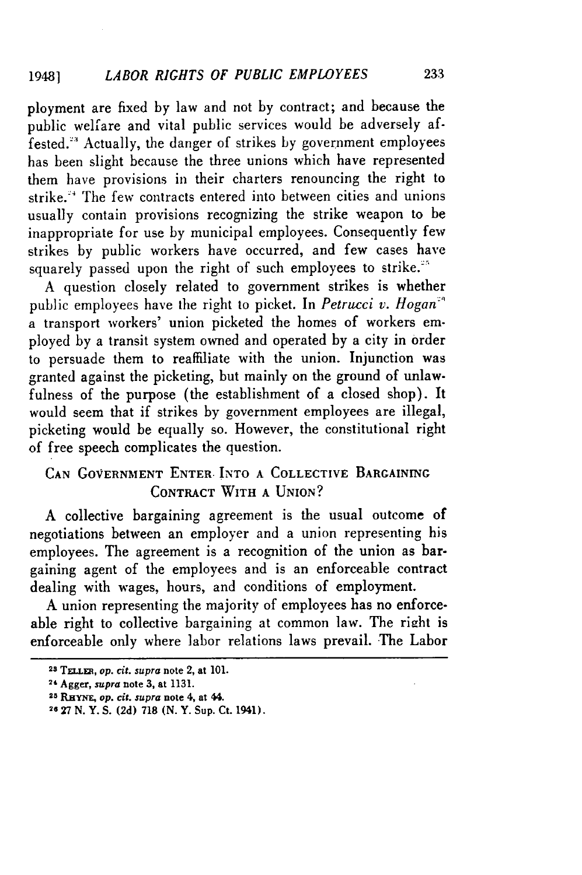ployment are fixed by law and not by contract; and because the public welfare and vital public services would be adversely affested."' Actually, the danger of strikes by government employees has been slight because the three unions which have represented them have provisions in their charters renouncing the right to strike." The few contracts entered into between cities and unions usually contain provisions recognizing the strike weapon to be inappropriate for use by municipal employees. Consequently few strikes by public workers have occurred, and few cases have squarely passed upon the right of such employees to strike.<sup>25</sup>

A question closely related to government strikes is whether public employees have the right to picket. In *Petrucci v. Hogan"* a transport workers' union picketed the homes of workers employed by a transit system owned and operated by a city in order to persuade them to reaffiliate with the union. Injunction was granted against the picketing, but mainly on the ground of unlawfulness of the purpose (the establishment of a closed shop). It would seem that if strikes by government employees are illegal, picketing would be equally so. However, the constitutional right of free speech complicates the question.

### **CAN GOVERNMENT** ENTER. INTO **A COLLECTIVE BARGAINING CONTRACT** WITH **A UNION?**

A collective bargaining agreement is the usual outcome of negotiations between an employer and a union representing his employees. The agreement is a recognition of the union as bargaining agent of the employees and is an enforceable contract dealing with wages, hours, and conditions of employment.

**A** union representing the majority of employees has no enforceable right to collective bargaining at common law. The right is enforceable only where labor relations laws prevail. The Labor

**<sup>23</sup>TELLER,** *op. cit. supra* **note 2, at 101.**

**<sup>24</sup>**Agger, *supra* note **3, at 1131.**

*<sup>25</sup> RHYNE, op. cit. supra* **note** 4, at 44.

<sup>26</sup> **27 N.** Y. **S. (2d) 718 (N.** Y. **Sup. Ct.** 1941).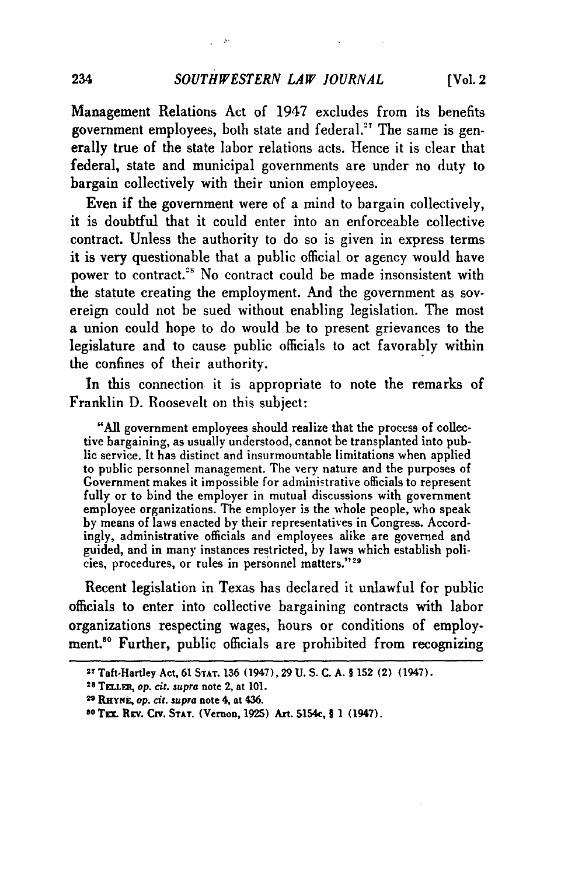$\mathcal{L}^{\mathcal{L}}$  and

Management Relations Act of 1947 excludes from its benefits government employees, both state and federal.<sup>27</sup> The same is generally true of the state labor relations acts. Hence it is clear that federal, state and municipal governments are under no duty to bargain collectively with their union employees.

Even if the government were of a mind to bargain collectively, it is doubtful that it could enter into an enforceable collective contract. Unless the authority to do so is given in express terms it is very questionable that a public official or agency would have power to contract.<sup>28</sup> No contract could be made insonsistent with the statute creating the employment. And the government as sovereign could not be sued without enabling legislation. The most a union could hope to do would be to present grievances to the legislature and to cause public officials to act favorably within the confines of their authority.

In this connection it is appropriate to note the remarks of Franklin D. Roosevelt on this subject:

"All government employees should realize that the process of collective bargaining, as usually understood, cannot be transplanted into public service. It has distinct and insurmountable limitations when applied to public personnel management. The very nature and the purposes of Government makes it impossible for administrative officials to represent fully or to bind the employer in mutual discussions with government employee organizations. The employer is the whole people, who speak by means of laws enacted by their representatives in Congress. Accordingly, administrative officials and employees alike are governed and guided, and in many instances restricted, by laws which establish policies, procedures, or rules in personnel matters."<sup>29</sup>

Recent legislation in Texas has declared it unlawful for public officials to enter into collective bargaining contracts with labor organizations respecting wages, hours or conditions of employment.<sup>30</sup> Further, public officials are prohibited from recognizing

**<sup>27</sup>**Taft-Hartley Act, **61 STAT.** 136 (1947), 29 **U. S. C. A.** § **152** (2) (1947).

**<sup>28</sup>**Tn.uEt, **op. cit. supra** note 2, at **101.**

**<sup>2</sup>RHNk, op. cit. supra** note **4,** at 436.

**SOTrLx** REv. **CirV. STAT.** (Vernon, **1925)** Art. 5154c, § **1** (1947).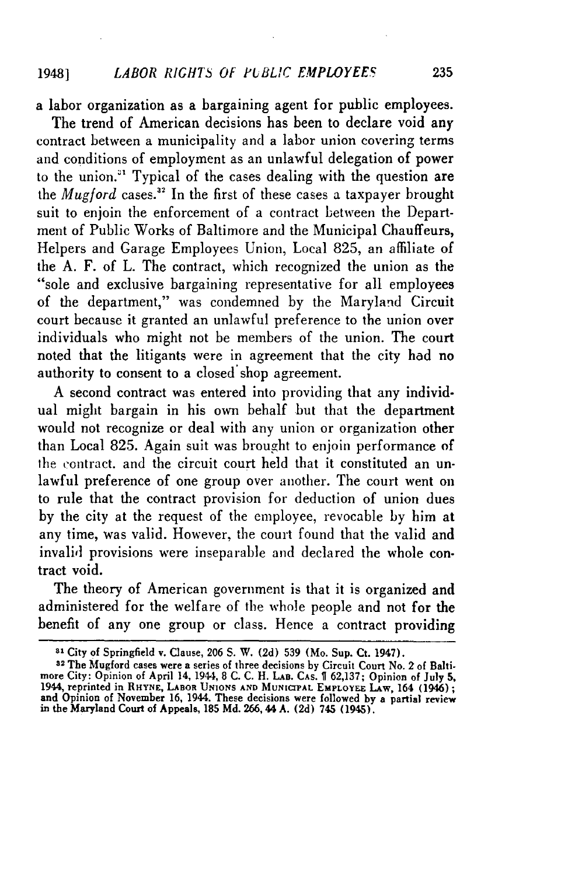a labor organization as a bargaining agent for public employees.

The trend of American decisions has been to declare void any contract between a municipality and a labor union covering terms and conditions of employment as an unlawful delegation of power to the union." Typical of the cases dealing with the question are the *Mugford* cases.<sup>32</sup> In the first of these cases a taxpayer brought suit to enjoin the enforcement of a contract between the Department of Public Works of Baltimore and the Municipal Chauffeurs, Helpers and Garage Employees Union, Local 825, an affiliate of the A. F. of L. The contract, which recognized the union as the "sole and exclusive bargaining representative for all employees of the department," was condemned by the Maryland Circuit court because it granted an unlawful preference to the union over individuals who might not be members of the union. The court noted that the litigants were in agreement that the city had no authority to consent to a closed shop agreement.

A second contract was entered into providing that any individual might bargain in his own behalf but that the department would not recognize or deal with any union or organization other than Local 825. Again suit was brought to enjoin performance of the contract. and the circuit court held that it constituted an unlawful preference of one group over another. The court went on to rule that the contract provision for deduction of union dues by the city at the request of the employee, revocable by him at any time, was valid. However, the court found that the valid and invalid provisions were inseparable and declared the whole contract void.

The theory of American government is that it is organized and administered for the welfare of the whole people and not for the benefit of any one group or class. Hence a contract providing

**<sup>-1</sup>** City **of** Springfield **v.** Clause, **206 S.** W. **(2d) 539** (Mo. Sup. Ct. 1947).

**<sup>32</sup> The** Mugford cases were **a** series of three decisions **by** Circuit Court No. 2 **of** Baltimore City: Opinion of April 14, 1944, **8 C. C.** H. **LAB. CAS. T 62,137;** Opinion **of** July **5,** 1944, reprinted in **RHYNE,** LABOR **UNIONS AND** MUNICIPAL **EmPLOYEE** LAw, **164** (1946); **and Opinion of** November **16,** 1944. These decisions were followed **by a** partial review in the **Maryland Court of** Appeals, **185 Md.** 266,44 **A. (2d)** 745 (1945).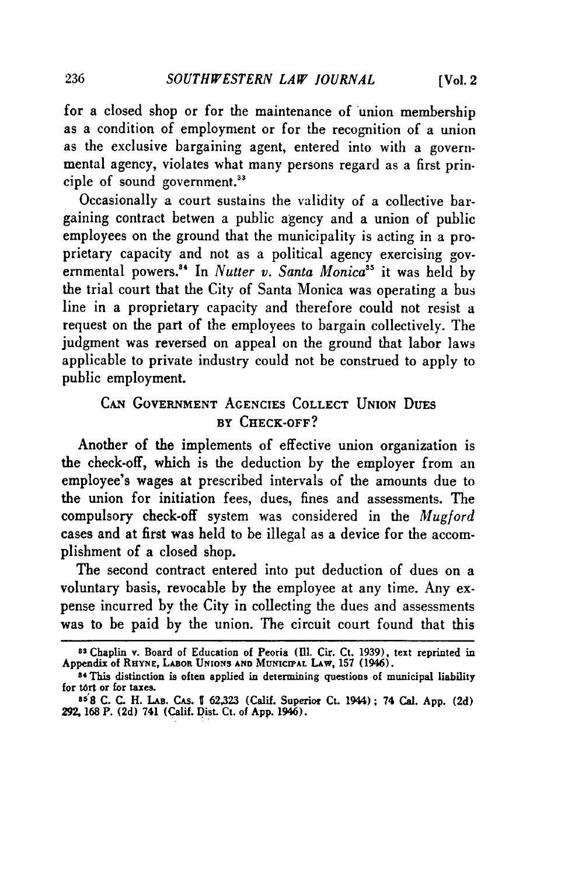for a closed shop or for the maintenance of union membership as a condition of employment or for the recognition of a union as the exclusive bargaining agent, entered into with a governmental agency, violates what many persons regard as a first principle of sound government.<sup>33</sup>

Occasionally a court sustains the validity of a collective bargaining contract betwen a public agency and a union of public employees on the ground that the municipality is acting in a proprietary capacity and not as a political agency exercising governmental powers."' In *Nutter v. Santa Monica"5* it was held **by** the trial court that the City of Santa Monica was operating a bus line in a proprietary capacity and therefore could not resist a request on the part of the employees to bargain collectively. The judgment was reversed on appeal on the ground that labor laws applicable to private industry could not be construed to apply to public employment.

### **CAN GOVERNMENT AGENCIES COLLECT UNION** DuEs **BY** CHECK-OFF?

Another of the implements of effective union organization is the check-off, which is the deduction **by** the employer from an employee's wages at prescribed intervals of the amounts due to the union for initiation fees, dues, fines and assessments. The compulsory check-off system was considered in the *Mugford* cases and at first was held to be illegal as a device for the accomplishment of a closed shop.

The second contract entered into put deduction of dues on a voluntary basis, revocable by the employee at any time. Any expense incurred by the City in collecting the dues and assessments was to be paid by the union. The circuit court found that this

<sup>&</sup>lt;sup>83</sup> Chaplin v. Board of Education of Peoria (Ill. Cir. Ct. 1939), text reprinted in Appendix of RHYNE, LABOR UNIONS AND MUNICIPAL LAW, 157 (1946).

**<sup>5,</sup>** This distinction is often applied in determining **questions of** municipal liability for **tort** or for taxes. **3 8 C. C.** H. **LAs.** CAs. I **62,323** (Calif. Superior Ct. 1944); 74 Cal. **App. (2d)**

**<sup>29, 168</sup>** P. **(2d)** 741 (Calif. Dist. Ct. of **App.** 1946).